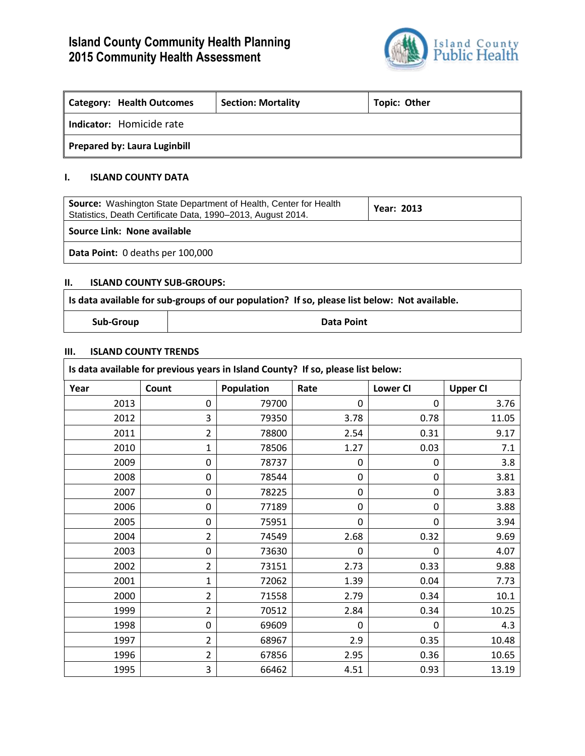# **Island County Community Health Planning 2015 Community Health Assessment**



| <b>Category: Health Outcomes</b>    | <b>Section: Mortality</b> | <b>Topic: Other</b> |
|-------------------------------------|---------------------------|---------------------|
| Indicator: Homicide rate            |                           |                     |
| <b>Prepared by: Laura Luginbill</b> |                           |                     |

## **I. ISLAND COUNTY DATA**

| <b>Source:</b> Washington State Department of Health, Center for Health<br>Statistics, Death Certificate Data, 1990-2013, August 2014. | <b>Year: 2013</b> |  |
|----------------------------------------------------------------------------------------------------------------------------------------|-------------------|--|
| Source Link: None available                                                                                                            |                   |  |
| Data Point: 0 deaths per 100,000                                                                                                       |                   |  |

## **II. ISLAND COUNTY SUB-GROUPS:**

| Is data available for sub-groups of our population? If so, please list below: Not available. |            |
|----------------------------------------------------------------------------------------------|------------|
| Sub-Group                                                                                    | Data Point |

## **III. ISLAND COUNTY TRENDS**

| Is data available for previous years in Island County? If so, please list below: |                  |                   |             |                 |                 |
|----------------------------------------------------------------------------------|------------------|-------------------|-------------|-----------------|-----------------|
| Year                                                                             | Count            | <b>Population</b> | Rate        | <b>Lower CI</b> | <b>Upper CI</b> |
| 2013                                                                             | 0                | 79700             | 0           | $\mathbf 0$     | 3.76            |
| 2012                                                                             | 3                | 79350             | 3.78        | 0.78            | 11.05           |
| 2011                                                                             | 2                | 78800             | 2.54        | 0.31            | 9.17            |
| 2010                                                                             | 1                | 78506             | 1.27        | 0.03            | 7.1             |
| 2009                                                                             | $\boldsymbol{0}$ | 78737             | 0           | $\mathbf 0$     | 3.8             |
| 2008                                                                             | 0                | 78544             | $\mathbf 0$ | $\mathbf 0$     | 3.81            |
| 2007                                                                             | 0                | 78225             | 0           | 0               | 3.83            |
| 2006                                                                             | $\mathbf 0$      | 77189             | 0           | $\mathbf 0$     | 3.88            |
| 2005                                                                             | $\mathbf 0$      | 75951             | 0           | $\mathbf 0$     | 3.94            |
| 2004                                                                             | 2                | 74549             | 2.68        | 0.32            | 9.69            |
| 2003                                                                             | 0                | 73630             | 0           | 0               | 4.07            |
| 2002                                                                             | 2                | 73151             | 2.73        | 0.33            | 9.88            |
| 2001                                                                             | 1                | 72062             | 1.39        | 0.04            | 7.73            |
| 2000                                                                             | $\overline{2}$   | 71558             | 2.79        | 0.34            | $10.1\,$        |
| 1999                                                                             | 2                | 70512             | 2.84        | 0.34            | 10.25           |
| 1998                                                                             | 0                | 69609             | $\Omega$    | 0               | 4.3             |
| 1997                                                                             | 2                | 68967             | 2.9         | 0.35            | 10.48           |
| 1996                                                                             | $\overline{2}$   | 67856             | 2.95        | 0.36            | 10.65           |
| 1995                                                                             | 3                | 66462             | 4.51        | 0.93            | 13.19           |